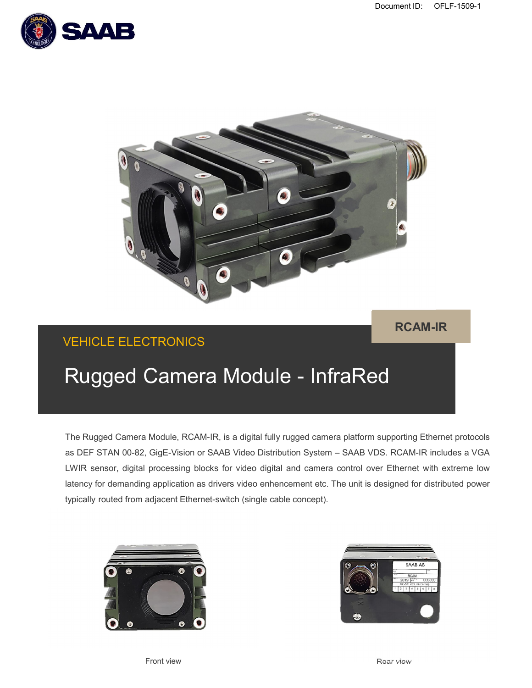



# VEHICLE ELECTRONICS

## **RCAM-IR**

# Rugged Camera Module - InfraRed

The Rugged Camera Module, RCAM-IR, is a digital fully rugged camera platform supporting Ethernet protocols as DEF STAN 00-82, GigE-Vision or SAAB Video Distribution System – SAAB VDS. RCAM-IR includes a VGA LWIR sensor, digital processing blocks for video digital and camera control over Ethernet with extreme low latency for demanding application as drivers video enhencement etc. The unit is designed for distributed power typically routed from adjacent Ethernet-switch (single cable concept).